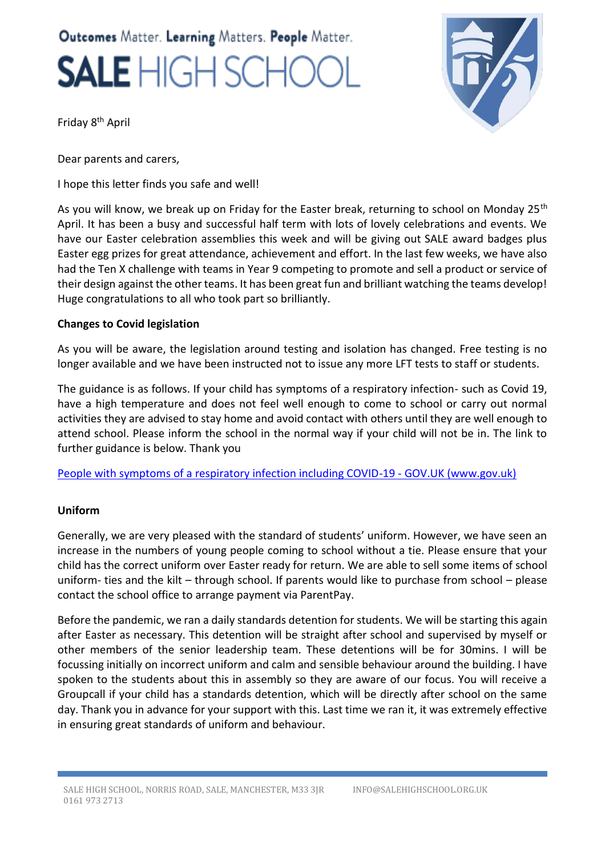# Outcomes Matter. Learning Matters. People Matter. **SALE** HIGH SCHC



Friday 8th April

Dear parents and carers,

I hope this letter finds you safe and well!

As you will know, we break up on Friday for the Easter break, returning to school on Monday 25<sup>th</sup> April. It has been a busy and successful half term with lots of lovely celebrations and events. We have our Easter celebration assemblies this week and will be giving out SALE award badges plus Easter egg prizes for great attendance, achievement and effort. In the last few weeks, we have also had the Ten X challenge with teams in Year 9 competing to promote and sell a product or service of their design against the other teams. It has been great fun and brilliant watching the teams develop! Huge congratulations to all who took part so brilliantly.

### **Changes to Covid legislation**

As you will be aware, the legislation around testing and isolation has changed. Free testing is no longer available and we have been instructed not to issue any more LFT tests to staff or students.

The guidance is as follows. If your child has symptoms of a respiratory infection- such as Covid 19, have a high temperature and does not feel well enough to come to school or carry out normal activities they are advised to stay home and avoid contact with others until they are well enough to attend school. Please inform the school in the normal way if your child will not be in. The link to further guidance is below. Thank you

[People with symptoms of a respiratory infection including COVID-19 - GOV.UK \(www.gov.uk\)](https://www.gov.uk/guidance/people-with-symptoms-of-a-respiratory-infection-including-covid-19?utm_source=01%20April%202022%20C19&utm_medium=Daily%20Email%20C19&utm_campaign=DfE%20C19)

#### **Uniform**

Generally, we are very pleased with the standard of students' uniform. However, we have seen an increase in the numbers of young people coming to school without a tie. Please ensure that your child has the correct uniform over Easter ready for return. We are able to sell some items of school uniform- ties and the kilt – through school. If parents would like to purchase from school – please contact the school office to arrange payment via ParentPay.

Before the pandemic, we ran a daily standards detention for students. We will be starting this again after Easter as necessary. This detention will be straight after school and supervised by myself or other members of the senior leadership team. These detentions will be for 30mins. I will be focussing initially on incorrect uniform and calm and sensible behaviour around the building. I have spoken to the students about this in assembly so they are aware of our focus. You will receive a Groupcall if your child has a standards detention, which will be directly after school on the same day. Thank you in advance for your support with this. Last time we ran it, it was extremely effective in ensuring great standards of uniform and behaviour.